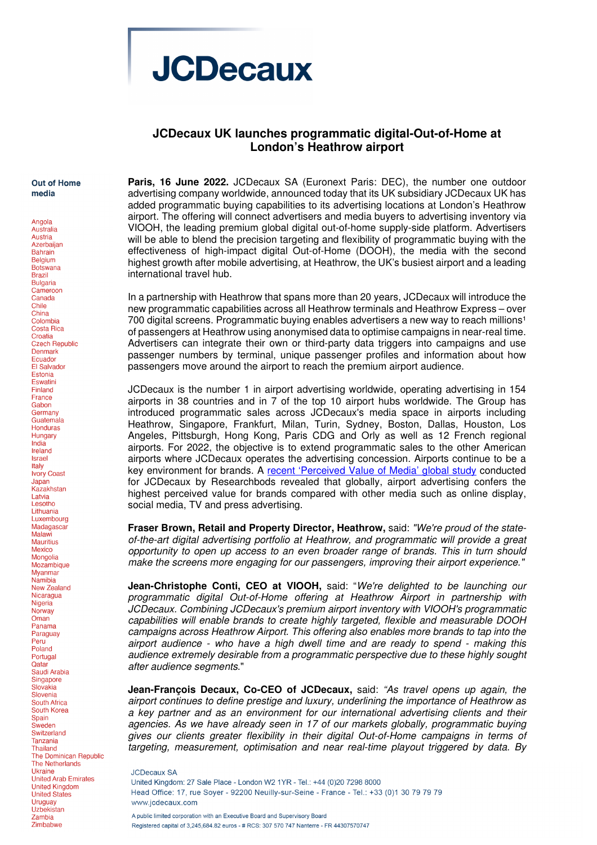

## **JCDecaux UK launches programmatic digital-Out-of-Home at London's Heathrow airport**

## **Out of Home** media

Angola Australia Austria Azerbaijan **Bahrain Belaium** Botswana **Brazil Bulgaria** Cameroon Canada Chile China Colombia Costa Rica Croatia Czech Republic Denmark **Ecuador** El Salvador Estonia **Eswatini** Finland France Gabon Germany Guatemala **Honduras** Hungary India Ireland Israel Italy **Ivory Coast** Japan Kazakhstan Latvia Lesotho Lithuania Luxembourg Madagascar Malawi Mauritius Mexico Mongolia Mozambique **Mvanmar** Namibia New Zealand Nicaragua Nigeria Norway  $O$ man Panama Paraguay Peru Poland Portugal Qatar Saudi Arabia Singapore Slovakia Slovenia South Africa South Korea Spain Sweden Switzerland **Tanzania Thailand** The Dominican Republic The Netherlands **Ukraine United Arab Emirates** United Kingdom **United States** Uruguay Uzbekistan Zambia Zimbabwe

**Paris, 16 June 2022.** JCDecaux SA (Euronext Paris: DEC), the number one outdoor advertising company worldwide, announced today that its UK subsidiary JCDecaux UK has added programmatic buying capabilities to its advertising locations at London's Heathrow airport. The offering will connect advertisers and media buyers to advertising inventory via VIOOH, the leading premium global digital out-of-home supply-side platform. Advertisers will be able to blend the precision targeting and flexibility of programmatic buying with the effectiveness of high-impact digital Out-of-Home (DOOH), the media with the second highest growth after mobile advertising, at Heathrow, the UK's busiest airport and a leading international travel hub.

In a partnership with Heathrow that spans more than 20 years, JCDecaux will introduce the new programmatic capabilities across all Heathrow terminals and Heathrow Express – over 700 digital screens. Programmatic buying enables advertisers a new way to reach millions<sup>1</sup> of passengers at Heathrow using anonymised data to optimise campaigns in near-real time. Advertisers can integrate their own or third-party data triggers into campaigns and use passenger numbers by terminal, unique passenger profiles and information about how passengers move around the airport to reach the premium airport audience.

JCDecaux is the number 1 in airport advertising worldwide, operating advertising in 154 airports in 38 countries and in 7 of the top 10 airport hubs worldwide. The Group has introduced programmatic sales across JCDecaux's media space in airports including Heathrow, Singapore, Frankfurt, Milan, Turin, Sydney, Boston, Dallas, Houston, Los Angeles, Pittsburgh, Hong Kong, Paris CDG and Orly as well as 12 French regional airports. For 2022, the objective is to extend programmatic sales to the other American airports where JCDecaux operates the advertising concession. Airports continue to be a key environment for brands. A recent 'Perceived Value of Media' global study conducted for JCDecaux by Researchbods revealed that globally, airport advertising confers the highest perceived value for brands compared with other media such as online display, social media, TV and press advertising.

**Fraser Brown, Retail and Property Director, Heathrow,** said: "We're proud of the stateof-the-art digital advertising portfolio at Heathrow, and programmatic will provide a great opportunity to open up access to an even broader range of brands. This in turn should make the screens more engaging for our passengers, improving their airport experience."

**Jean-Christophe Conti, CEO at VIOOH,** said: "We're delighted to be launching our programmatic digital Out-of-Home offering at Heathrow Airport in partnership with JCDecaux. Combining JCDecaux's premium airport inventory with VIOOH's programmatic capabilities will enable brands to create highly targeted, flexible and measurable DOOH campaigns across Heathrow Airport. This offering also enables more brands to tap into the airport audience - who have a high dwell time and are ready to spend - making this audience extremely desirable from a programmatic perspective due to these highly sought after audience segments."

**Jean-François Decaux, Co-CEO of JCDecaux,** said: "As travel opens up again, the airport continues to define prestige and luxury, underlining the importance of Heathrow as a key partner and as an environment for our international advertising clients and their agencies. As we have already seen in 17 of our markets globally, programmatic buying gives our clients greater flexibility in their digital Out-of-Home campaigns in terms of targeting, measurement, optimisation and near real-time playout triggered by data. By

**JCDecaux SA** United Kingdom: 27 Sale Place - London W2 1YR - Tel.: +44 (0)20 7298 8000 Head Office: 17, rue Sover - 92200 Neuilly-sur-Seine - France - Tel.: +33 (0)1 30 79 79 79 www.icdecaux.com A public limited corporation with an Executive Board and Supervisory Board Registered capital of 3.245.684.82 euros - # RCS: 307 570 747 Nanterre - FR 44307570747